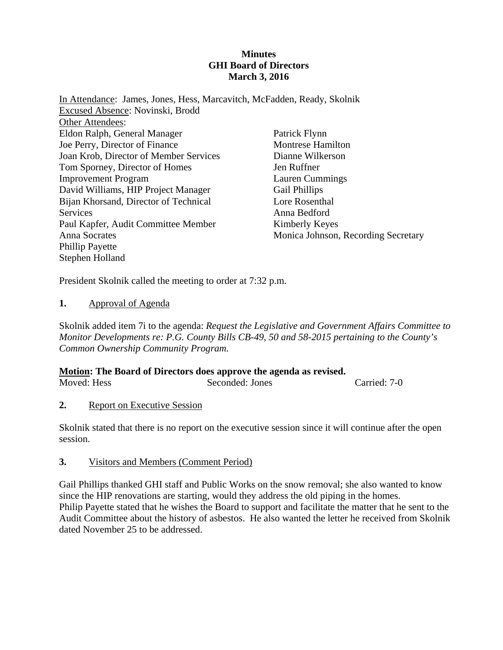#### **Minutes GHI Board of Directors March 3, 2016**

| In Attendance: James, Jones, Hess, Marcavitch, McFadden, Ready, Skolnik |
|-------------------------------------------------------------------------|
|                                                                         |
|                                                                         |
| Patrick Flynn                                                           |
| <b>Montrese Hamilton</b>                                                |
| Dianne Wilkerson                                                        |
| Jen Ruffner                                                             |
| <b>Lauren Cummings</b>                                                  |
| <b>Gail Phillips</b>                                                    |
| Lore Rosenthal                                                          |
| Anna Bedford                                                            |
| Kimberly Keyes                                                          |
| Monica Johnson, Recording Secretary                                     |
|                                                                         |
|                                                                         |
|                                                                         |

President Skolnik called the meeting to order at 7:32 p.m.

#### **1.** Approval of Agenda

Skolnik added item 7i to the agenda: *Request the Legislative and Government Affairs Committee to Monitor Developments re: P.G. County Bills CB-49, 50 and 58-2015 pertaining to the County's Common Ownership Community Program.* 

### **Motion: The Board of Directors does approve the agenda as revised.**

| Seconded: Jones | Carried: 7-0 |
|-----------------|--------------|
|                 |              |

#### **2.** Report on Executive Session

Skolnik stated that there is no report on the executive session since it will continue after the open session.

#### **3.** Visitors and Members (Comment Period)

Gail Phillips thanked GHI staff and Public Works on the snow removal; she also wanted to know since the HIP renovations are starting, would they address the old piping in the homes. Philip Payette stated that he wishes the Board to support and facilitate the matter that he sent to the Audit Committee about the history of asbestos. He also wanted the letter he received from Skolnik dated November 25 to be addressed.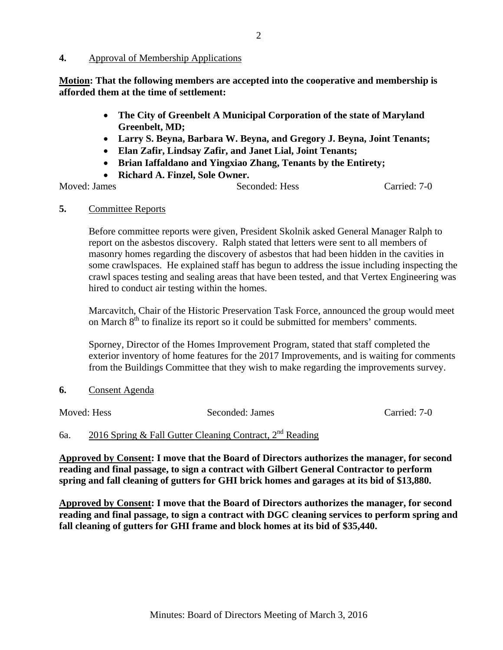#### **4.** Approval of Membership Applications

**Motion: That the following members are accepted into the cooperative and membership is afforded them at the time of settlement:** 

- **The City of Greenbelt A Municipal Corporation of the state of Maryland Greenbelt, MD;**
- **Larry S. Beyna, Barbara W. Beyna, and Gregory J. Beyna, Joint Tenants;**
- **Elan Zafir, Lindsay Zafir, and Janet Lial, Joint Tenants;**
- **Brian Iaffaldano and Yingxiao Zhang, Tenants by the Entirety;**
- **Richard A. Finzel, Sole Owner.**

Moved: James Seconded: Hess Carried: 7-0

#### **5.** Committee Reports

Before committee reports were given, President Skolnik asked General Manager Ralph to report on the asbestos discovery. Ralph stated that letters were sent to all members of masonry homes regarding the discovery of asbestos that had been hidden in the cavities in some crawlspaces. He explained staff has begun to address the issue including inspecting the crawl spaces testing and sealing areas that have been tested, and that Vertex Engineering was hired to conduct air testing within the homes.

Marcavitch, Chair of the Historic Preservation Task Force, announced the group would meet on March  $8<sup>th</sup>$  to finalize its report so it could be submitted for members' comments.

Sporney, Director of the Homes Improvement Program, stated that staff completed the exterior inventory of home features for the 2017 Improvements, and is waiting for comments from the Buildings Committee that they wish to make regarding the improvements survey.

**6.** Consent Agenda

Moved: Hess Seconded: James Carried: 7-0

# 6a.  $2016$  Spring & Fall Gutter Cleaning Contract,  $2^{nd}$  Reading

**Approved by Consent: I move that the Board of Directors authorizes the manager, for second reading and final passage, to sign a contract with Gilbert General Contractor to perform spring and fall cleaning of gutters for GHI brick homes and garages at its bid of \$13,880.** 

**Approved by Consent: I move that the Board of Directors authorizes the manager, for second reading and final passage, to sign a contract with DGC cleaning services to perform spring and fall cleaning of gutters for GHI frame and block homes at its bid of \$35,440.**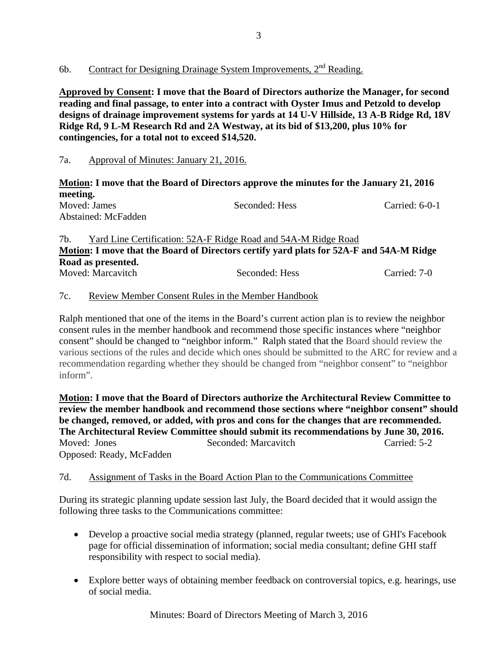### 6b. Contract for Designing Drainage System Improvements,  $2<sup>nd</sup>$  Reading.

**Approved by Consent: I move that the Board of Directors authorize the Manager, for second reading and final passage, to enter into a contract with Oyster Imus and Petzold to develop designs of drainage improvement systems for yards at 14 U-V Hillside, 13 A-B Ridge Rd, 18V Ridge Rd, 9 L-M Research Rd and 2A Westway, at its bid of \$13,200, plus 10% for contingencies, for a total not to exceed \$14,520.**

### 7a. Approval of Minutes: January 21, 2016.

**Motion: I move that the Board of Directors approve the minutes for the January 21, 2016 meeting.** 

| Moved: James        | Seconded: Hess | Carried: $6-0-1$ |
|---------------------|----------------|------------------|
| Abstained: McFadden |                |                  |

7b. Yard Line Certification: 52A-F Ridge Road and 54A-M Ridge Road **Motion: I move that the Board of Directors certify yard plats for 52A-F and 54A-M Ridge Road as presented.** Moved: Marcavitch Seconded: Hess Carried: 7-0

### 7c. Review Member Consent Rules in the Member Handbook

Ralph mentioned that one of the items in the Board's current action plan is to review the neighbor consent rules in the member handbook and recommend those specific instances where "neighbor consent" should be changed to "neighbor inform." Ralph stated that the Board should review the various sections of the rules and decide which ones should be submitted to the ARC for review and a recommendation regarding whether they should be changed from "neighbor consent" to "neighbor inform".

**Motion: I move that the Board of Directors authorize the Architectural Review Committee to review the member handbook and recommend those sections where "neighbor consent" should be changed, removed, or added, with pros and cons for the changes that are recommended. The Architectural Review Committee should submit its recommendations by June 30, 2016.**  Moved: Jones Seconded: Marcavitch Carried: 5-2 Opposed: Ready, McFadden

### 7d. Assignment of Tasks in the Board Action Plan to the Communications Committee

During its strategic planning update session last July, the Board decided that it would assign the following three tasks to the Communications committee:

- Develop a proactive social media strategy (planned, regular tweets; use of GHI's Facebook page for official dissemination of information; social media consultant; define GHI staff responsibility with respect to social media).
- Explore better ways of obtaining member feedback on controversial topics, e.g. hearings, use of social media.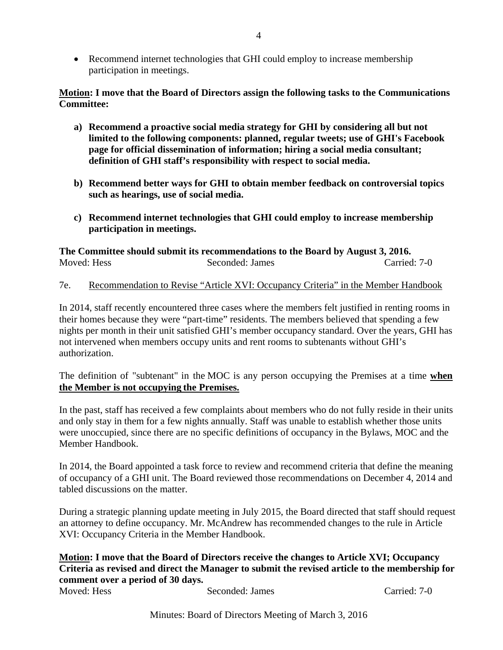Recommend internet technologies that GHI could employ to increase membership participation in meetings.

#### **Motion: I move that the Board of Directors assign the following tasks to the Communications Committee:**

- **a) Recommend a proactive social media strategy for GHI by considering all but not limited to the following components: planned, regular tweets; use of GHI's Facebook page for official dissemination of information; hiring a social media consultant; definition of GHI staff's responsibility with respect to social media.**
- **b) Recommend better ways for GHI to obtain member feedback on controversial topics such as hearings, use of social media.**
- **c) Recommend internet technologies that GHI could employ to increase membership participation in meetings.**

**The Committee should submit its recommendations to the Board by August 3, 2016.**  Moved: Hess Seconded: James Carried: 7-0

#### 7e. Recommendation to Revise "Article XVI: Occupancy Criteria" in the Member Handbook

In 2014, staff recently encountered three cases where the members felt justified in renting rooms in their homes because they were "part-time" residents. The members believed that spending a few nights per month in their unit satisfied GHI's member occupancy standard. Over the years, GHI has not intervened when members occupy units and rent rooms to subtenants without GHI's authorization.

The definition of "subtenant" in the MOC is any person occupying the Premises at a time **when the Member is not occupying the Premises.**

In the past, staff has received a few complaints about members who do not fully reside in their units and only stay in them for a few nights annually. Staff was unable to establish whether those units were unoccupied, since there are no specific definitions of occupancy in the Bylaws, MOC and the Member Handbook.

In 2014, the Board appointed a task force to review and recommend criteria that define the meaning of occupancy of a GHI unit. The Board reviewed those recommendations on December 4, 2014 and tabled discussions on the matter.

During a strategic planning update meeting in July 2015, the Board directed that staff should request an attorney to define occupancy. Mr. McAndrew has recommended changes to the rule in Article XVI: Occupancy Criteria in the Member Handbook.

### **Motion: I move that the Board of Directors receive the changes to Article XVI; Occupancy Criteria as revised and direct the Manager to submit the revised article to the membership for comment over a period of 30 days.**

Moved: Hess Seconded: James Carried: 7-0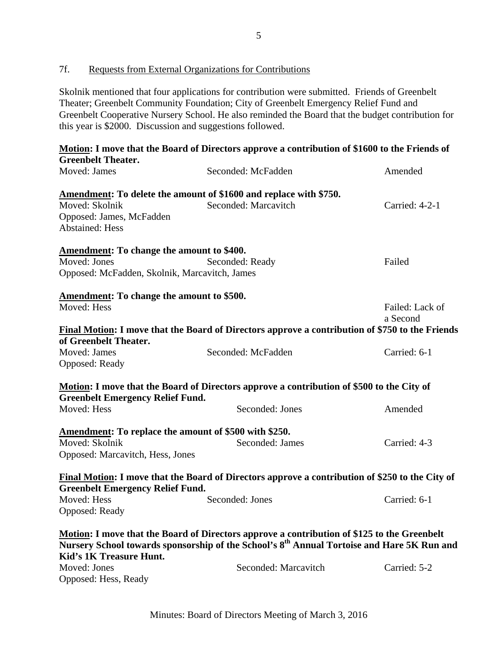### 7f. Requests from External Organizations for Contributions

Skolnik mentioned that four applications for contribution were submitted. Friends of Greenbelt Theater; Greenbelt Community Foundation; City of Greenbelt Emergency Relief Fund and Greenbelt Cooperative Nursery School. He also reminded the Board that the budget contribution for this year is \$2000. Discussion and suggestions followed.

|                                                                         | Motion: I move that the Board of Directors approve a contribution of \$1600 to the Friends of          |                             |
|-------------------------------------------------------------------------|--------------------------------------------------------------------------------------------------------|-----------------------------|
| <b>Greenbelt Theater.</b>                                               |                                                                                                        |                             |
| Moved: James                                                            | Seconded: McFadden                                                                                     | Amended                     |
| Amendment: To delete the amount of \$1600 and replace with \$750.       |                                                                                                        |                             |
| Moved: Skolnik                                                          | Seconded: Marcavitch                                                                                   | Carried: 4-2-1              |
| Opposed: James, McFadden                                                |                                                                                                        |                             |
| <b>Abstained: Hess</b>                                                  |                                                                                                        |                             |
|                                                                         |                                                                                                        |                             |
| <b>Amendment:</b> To change the amount to \$400.                        |                                                                                                        |                             |
| Moved: Jones                                                            | Seconded: Ready                                                                                        | Failed                      |
| Opposed: McFadden, Skolnik, Marcavitch, James                           |                                                                                                        |                             |
|                                                                         |                                                                                                        |                             |
| <b>Amendment:</b> To change the amount to \$500.<br>Moved: Hess         |                                                                                                        |                             |
|                                                                         |                                                                                                        | Failed: Lack of<br>a Second |
|                                                                         | <b>Final Motion:</b> I move that the Board of Directors approve a contribution of \$750 to the Friends |                             |
| of Greenbelt Theater.                                                   |                                                                                                        |                             |
| Moved: James                                                            | Seconded: McFadden                                                                                     | Carried: 6-1                |
| Opposed: Ready                                                          |                                                                                                        |                             |
|                                                                         |                                                                                                        |                             |
|                                                                         | Motion: I move that the Board of Directors approve a contribution of \$500 to the City of              |                             |
| <b>Greenbelt Emergency Relief Fund.</b>                                 |                                                                                                        |                             |
| Moved: Hess                                                             | Seconded: Jones                                                                                        | Amended                     |
|                                                                         |                                                                                                        |                             |
| Amendment: To replace the amount of \$500 with \$250.<br>Moved: Skolnik | Seconded: James                                                                                        | Carried: 4-3                |
| Opposed: Marcavitch, Hess, Jones                                        |                                                                                                        |                             |
|                                                                         |                                                                                                        |                             |
|                                                                         | Final Motion: I move that the Board of Directors approve a contribution of \$250 to the City of        |                             |
| <b>Greenbelt Emergency Relief Fund.</b>                                 |                                                                                                        |                             |
| Moved: Hess                                                             | Seconded: Jones                                                                                        | Carried: 6-1                |
| Opposed: Ready                                                          |                                                                                                        |                             |
|                                                                         |                                                                                                        |                             |
|                                                                         | Motion: I move that the Board of Directors approve a contribution of \$125 to the Greenbelt            |                             |
|                                                                         | Nursery School towards sponsorship of the School's 8 <sup>th</sup> Annual Tortoise and Hare 5K Run and |                             |
| Kid's 1K Treasure Hunt.<br>Moved: Jones                                 | Seconded: Marcavitch                                                                                   | Carried: 5-2                |
| Opposed: Hess, Ready                                                    |                                                                                                        |                             |
|                                                                         |                                                                                                        |                             |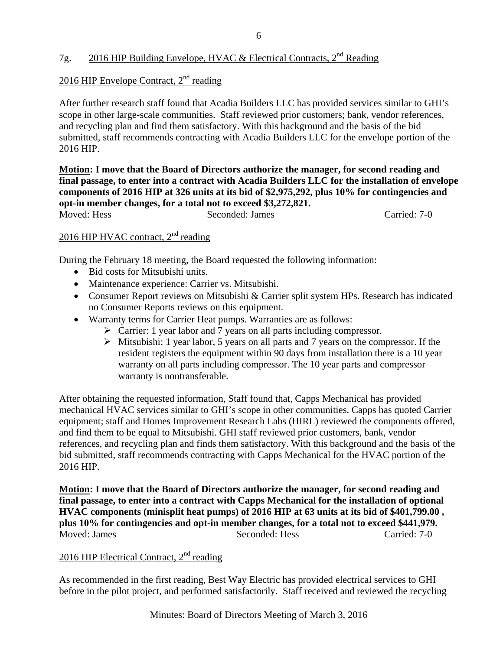# 7g. 2016 HIP Building Envelope, HVAC & Electrical Contracts, 2<sup>nd</sup> Reading

## 2016 HIP Envelope Contract,  $2<sup>nd</sup>$  reading

After further research staff found that Acadia Builders LLC has provided services similar to GHI's scope in other large-scale communities. Staff reviewed prior customers; bank, vendor references, and recycling plan and find them satisfactory. With this background and the basis of the bid submitted, staff recommends contracting with Acadia Builders LLC for the envelope portion of the 2016 HIP.

**Motion: I move that the Board of Directors authorize the manager, for second reading and final passage, to enter into a contract with Acadia Builders LLC for the installation of envelope components of 2016 HIP at 326 units at its bid of \$2,975,292, plus 10% for contingencies and opt-in member changes, for a total not to exceed \$3,272,821.**  Moved: Hess Seconded: James Carried: 7-0

# 2016 HIP HVAC contract, 2<sup>nd</sup> reading

During the February 18 meeting, the Board requested the following information:

- Bid costs for Mitsubishi units.
- Maintenance experience: Carrier vs. Mitsubishi.
- Consumer Report reviews on Mitsubishi & Carrier split system HPs. Research has indicated no Consumer Reports reviews on this equipment.
- Warranty terms for Carrier Heat pumps. Warranties are as follows:
	- $\triangleright$  Carrier: 1 year labor and 7 years on all parts including compressor.
	- $\triangleright$  Mitsubishi: 1 year labor, 5 years on all parts and 7 years on the compressor. If the resident registers the equipment within 90 days from installation there is a 10 year warranty on all parts including compressor. The 10 year parts and compressor warranty is nontransferable.

After obtaining the requested information, Staff found that, Capps Mechanical has provided mechanical HVAC services similar to GHI's scope in other communities. Capps has quoted Carrier equipment; staff and Homes Improvement Research Labs (HIRL) reviewed the components offered, and find them to be equal to Mitsubishi. GHI staff reviewed prior customers, bank, vendor references, and recycling plan and finds them satisfactory. With this background and the basis of the bid submitted, staff recommends contracting with Capps Mechanical for the HVAC portion of the 2016 HIP.

**Motion: I move that the Board of Directors authorize the manager, for second reading and final passage, to enter into a contract with Capps Mechanical for the installation of optional HVAC components (minisplit heat pumps) of 2016 HIP at 63 units at its bid of \$401,799.00 , plus 10% for contingencies and opt-in member changes, for a total not to exceed \$441,979.**  Moved: James Seconded: Hess Carried: 7-0

# $2016$  HIP Electrical Contract,  $2<sup>nd</sup>$  reading

As recommended in the first reading, Best Way Electric has provided electrical services to GHI before in the pilot project, and performed satisfactorily. Staff received and reviewed the recycling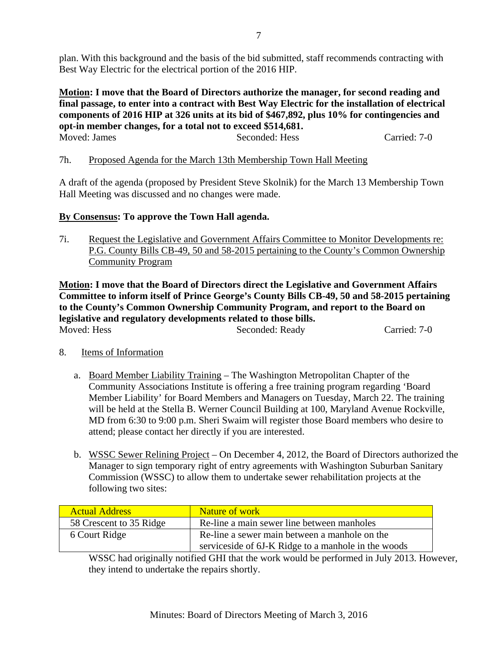plan. With this background and the basis of the bid submitted, staff recommends contracting with Best Way Electric for the electrical portion of the 2016 HIP.

**Motion: I move that the Board of Directors authorize the manager, for second reading and final passage, to enter into a contract with Best Way Electric for the installation of electrical components of 2016 HIP at 326 units at its bid of \$467,892, plus 10% for contingencies and opt-in member changes, for a total not to exceed \$514,681.**  Moved: James Seconded: Hess Carried: 7-0

7h. Proposed Agenda for the March 13th Membership Town Hall Meeting

A draft of the agenda (proposed by President Steve Skolnik) for the March 13 Membership Town Hall Meeting was discussed and no changes were made.

### **By Consensus: To approve the Town Hall agenda.**

7i. Request the Legislative and Government Affairs Committee to Monitor Developments re: P.G. County Bills CB-49, 50 and 58-2015 pertaining to the County's Common Ownership Community Program

**Motion: I move that the Board of Directors direct the Legislative and Government Affairs Committee to inform itself of Prince George's County Bills CB-49, 50 and 58-2015 pertaining to the County's Common Ownership Community Program, and report to the Board on legislative and regulatory developments related to those bills.**  Moved: Hess Seconded: Ready Carried: 7-0

- 8. Items of Information
	- a. Board Member Liability Training The Washington Metropolitan Chapter of the Community Associations Institute is offering a free training program regarding 'Board Member Liability' for Board Members and Managers on Tuesday, March 22. The training will be held at the Stella B. Werner Council Building at 100, Maryland Avenue Rockville, MD from 6:30 to 9:00 p.m. Sheri Swaim will register those Board members who desire to attend; please contact her directly if you are interested.
	- b. WSSC Sewer Relining Project On December 4, 2012, the Board of Directors authorized the Manager to sign temporary right of entry agreements with Washington Suburban Sanitary Commission (WSSC) to allow them to undertake sewer rehabilitation projects at the following two sites:

| <b>Actual Address</b>   | <b>Nature of work</b>                               |
|-------------------------|-----------------------------------------------------|
| 58 Crescent to 35 Ridge | Re-line a main sewer line between manholes          |
| 6 Court Ridge           | Re-line a sewer main between a manhole on the       |
|                         | serviceside of 6J-K Ridge to a manhole in the woods |

WSSC had originally notified GHI that the work would be performed in July 2013. However, they intend to undertake the repairs shortly.